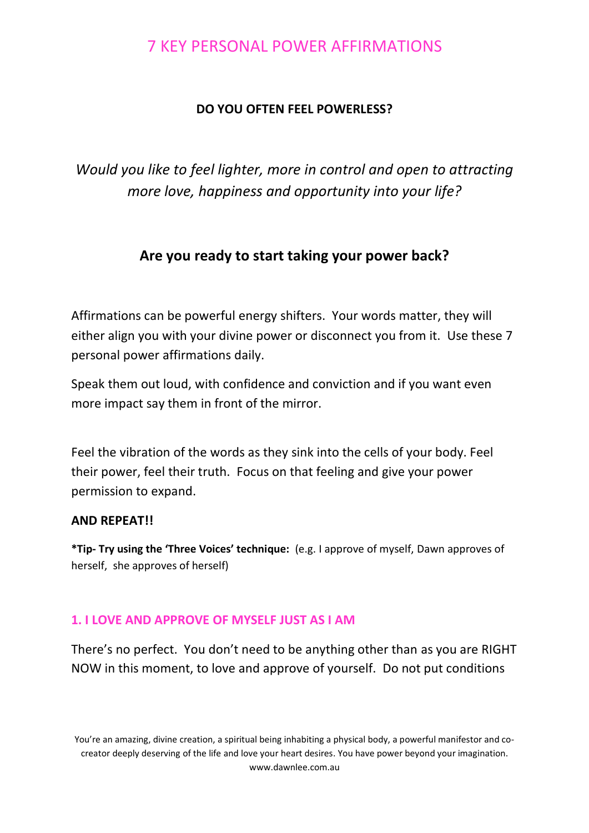# 7 KEY PERSONAL POWER AFFIRMATIONS

### **DO YOU OFTEN FEEL POWERLESS?**

*Would you like to feel lighter, more in control and open to attracting more love, happiness and opportunity into your life?*

### **Are you ready to start taking your power back?**

Affirmations can be powerful energy shifters. Your words matter, they will either align you with your divine power or disconnect you from it. Use these 7 personal power affirmations daily.

Speak them out loud, with confidence and conviction and if you want even more impact say them in front of the mirror.

Feel the vibration of the words as they sink into the cells of your body. Feel their power, feel their truth. Focus on that feeling and give your power permission to expand.

#### **AND REPEAT!!**

**\*Tip- Try using the 'Three Voices' technique:** (e.g. I approve of myself, Dawn approves of herself, she approves of herself)

### **1. I LOVE AND APPROVE OF MYSELF JUST AS I AM**

There's no perfect. You don't need to be anything other than as you are RIGHT NOW in this moment, to love and approve of yourself. Do not put conditions

You're an amazing, divine creation, a spiritual being inhabiting a physical body, a powerful manifestor and cocreator deeply deserving of the life and love your heart desires. You have power beyond your imagination. www.dawnlee.com.au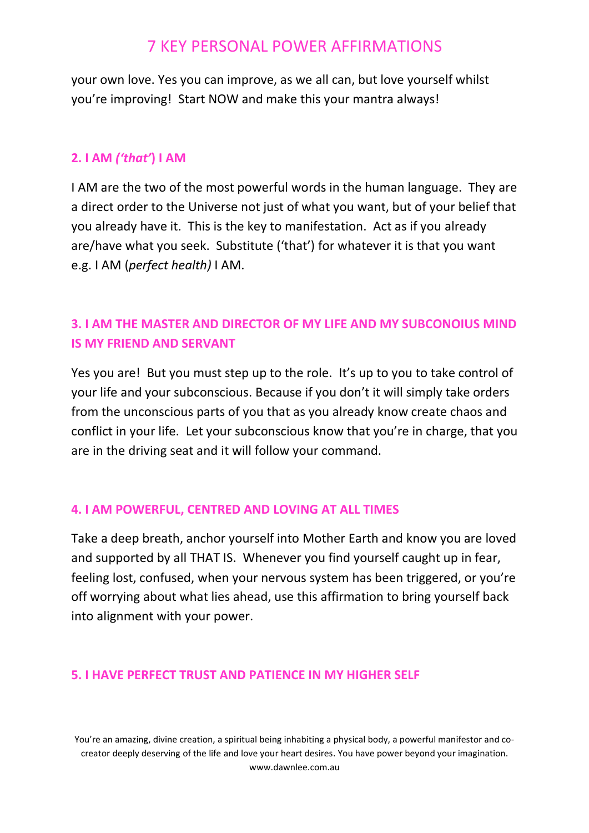# 7 KEY PERSONAL POWER AFFIRMATIONS

your own love. Yes you can improve, as we all can, but love yourself whilst you're improving! Start NOW and make this your mantra always!

### **2. I AM** *('that'***) I AM**

I AM are the two of the most powerful words in the human language. They are a direct order to the Universe not just of what you want, but of your belief that you already have it. This is the key to manifestation. Act as if you already are/have what you seek. Substitute ('that') for whatever it is that you want e.g. I AM (*perfect health)* I AM.

## **3. I AM THE MASTER AND DIRECTOR OF MY LIFE AND MY SUBCONOIUS MIND IS MY FRIEND AND SERVANT**

Yes you are! But you must step up to the role. It's up to you to take control of your life and your subconscious. Because if you don't it will simply take orders from the unconscious parts of you that as you already know create chaos and conflict in your life. Let your subconscious know that you're in charge, that you are in the driving seat and it will follow your command.

### **4. I AM POWERFUL, CENTRED AND LOVING AT ALL TIMES**

Take a deep breath, anchor yourself into Mother Earth and know you are loved and supported by all THAT IS. Whenever you find yourself caught up in fear, feeling lost, confused, when your nervous system has been triggered, or you're off worrying about what lies ahead, use this affirmation to bring yourself back into alignment with your power.

### **5. I HAVE PERFECT TRUST AND PATIENCE IN MY HIGHER SELF**

You're an amazing, divine creation, a spiritual being inhabiting a physical body, a powerful manifestor and cocreator deeply deserving of the life and love your heart desires. You have power beyond your imagination. www.dawnlee.com.au